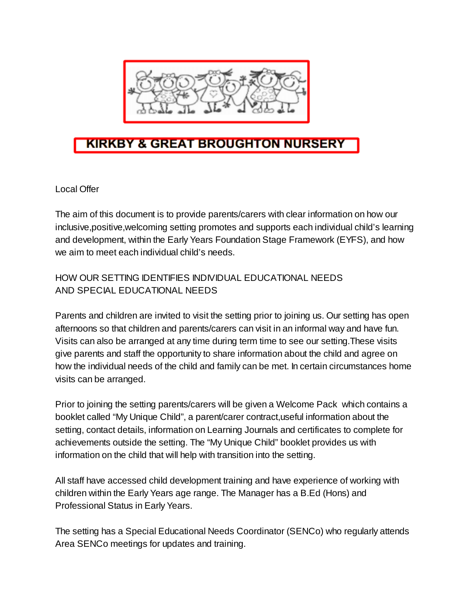

## **KIRKBY & GREAT BROUGHTON NURSERY**

Local Offer

The aim of this document is to provide parents/carers with clear information on how our inclusive,positive,welcoming setting promotes and supports each individual child's learning and development, within the Early Years Foundation Stage Framework (EYFS), and how we aim to meet each individual child's needs.

## HOW OUR SETTING IDENTIFIES INDIVIDUAL EDUCATIONAL NEEDS AND SPECIAL EDUCATIONAL NEEDS

Parents and children are invited to visit the setting prior to joining us. Our setting has open afternoons so that children and parents/carers can visit in an informal way and have fun. Visits can also be arranged at any time during term time to see our setting.These visits give parents and staff the opportunity to share information about the child and agree on how the individual needs of the child and family can be met. In certain circumstances home visits can be arranged.

Prior to joining the setting parents/carers will be given a Welcome Pack which contains a booklet called "My Unique Child", a parent/carer contract,useful information about the setting, contact details, information on Learning Journals and certificates to complete for achievements outside the setting. The "My Unique Child" booklet provides us with information on the child that will help with transition into the setting.

All staff have accessed child development training and have experience of working with children within the Early Years age range. The Manager has a B.Ed (Hons) and Professional Status in Early Years.

The setting has a Special Educational Needs Coordinator (SENCo) who regularly attends Area SENCo meetings for updates and training.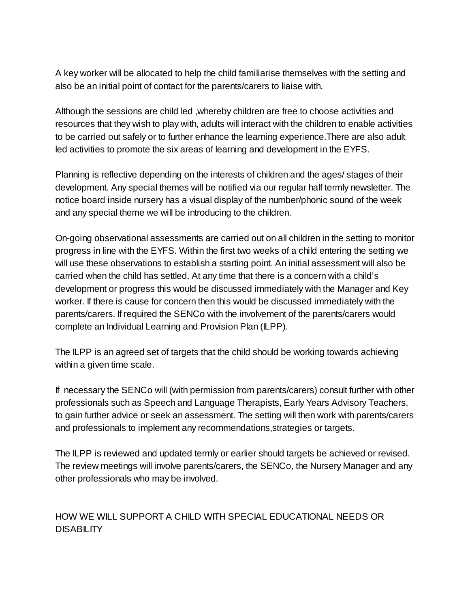A key worker will be allocated to help the child familiarise themselves with the setting and also be an initial point of contact for the parents/carers to liaise with.

Although the sessions are child led ,whereby children are free to choose activities and resources that they wish to play with, adults will interact with the children to enable activities to be carried out safely or to further enhance the learning experience.There are also adult led activities to promote the six areas of learning and development in the EYFS.

Planning is reflective depending on the interests of children and the ages/ stages of their development. Any special themes will be notified via our regular half termly newsletter. The notice board inside nursery has a visual display of the number/phonic sound of the week and any special theme we will be introducing to the children.

On-going observational assessments are carried out on all children in the setting to monitor progress in line with the EYFS. Within the first two weeks of a child entering the setting we will use these observations to establish a starting point. An initial assessment will also be carried when the child has settled. At any time that there is a concern with a child's development or progress this would be discussed immediately with the Manager and Key worker. If there is cause for concern then this would be discussed immediately with the parents/carers. If required the SENCo with the involvement of the parents/carers would complete an Individual Learning and Provision Plan (ILPP).

The ILPP is an agreed set of targets that the child should be working towards achieving within a given time scale.

If necessary the SENCo will (with permission from parents/carers) consult further with other professionals such as Speech and Language Therapists, Early Years Advisory Teachers, to gain further advice or seek an assessment. The setting will then work with parents/carers and professionals to implement any recommendations,strategies or targets.

The ILPP is reviewed and updated termly or earlier should targets be achieved or revised. The review meetings will involve parents/carers, the SENCo, the Nursery Manager and any other professionals who may be involved.

## HOW WE WILL SUPPORT A CHILD WITH SPECIAL EDUCATIONAL NEEDS OR DISABILITY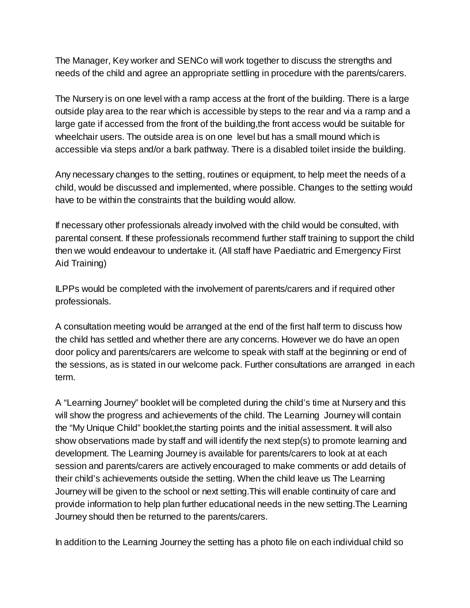The Manager, Key worker and SENCo will work together to discuss the strengths and needs of the child and agree an appropriate settling in procedure with the parents/carers.

The Nursery is on one level with a ramp access at the front of the building. There is a large outside play area to the rear which is accessible by steps to the rear and via a ramp and a large gate if accessed from the front of the building,the front access would be suitable for wheelchair users. The outside area is on one level but has a small mound which is accessible via steps and/or a bark pathway. There is a disabled toilet inside the building.

Any necessary changes to the setting, routines or equipment, to help meet the needs of a child, would be discussed and implemented, where possible. Changes to the setting would have to be within the constraints that the building would allow.

If necessary other professionals already involved with the child would be consulted, with parental consent. If these professionals recommend further staff training to support the child then we would endeavour to undertake it. (All staff have Paediatric and Emergency First Aid Training)

ILPPs would be completed with the involvement of parents/carers and if required other professionals.

A consultation meeting would be arranged at the end of the first half term to discuss how the child has settled and whether there are any concerns. However we do have an open door policy and parents/carers are welcome to speak with staff at the beginning or end of the sessions, as is stated in our welcome pack. Further consultations are arranged in each term.

A "Learning Journey" booklet will be completed during the child's time at Nursery and this will show the progress and achievements of the child. The Learning Journey will contain the "My Unique Child" booklet,the starting points and the initial assessment. It will also show observations made by staff and will identify the next step(s) to promote learning and development. The Learning Journey is available for parents/carers to look at at each session and parents/carers are actively encouraged to make comments or add details of their child's achievements outside the setting. When the child leave us The Learning Journey will be given to the school or next setting.This will enable continuity of care and provide information to help plan further educational needs in the new setting.The Learning Journey should then be returned to the parents/carers.

In addition to the Learning Journey the setting has a photo file on each individual child so